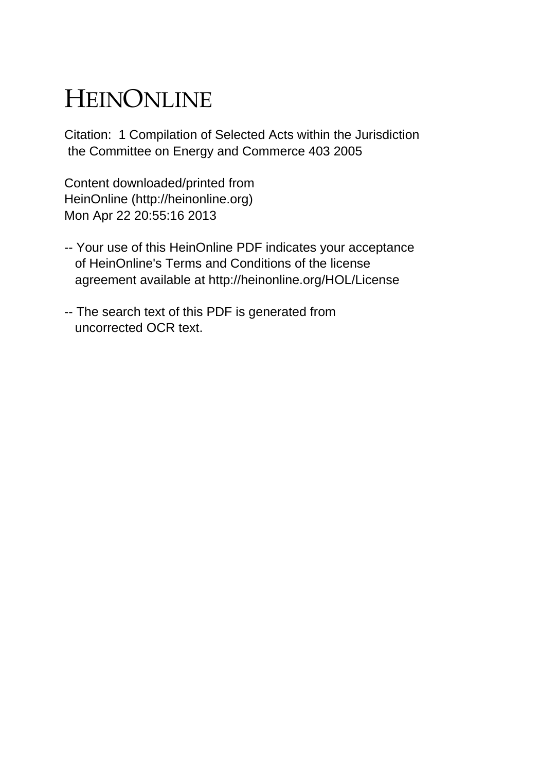# HEINONLINE

Citation: 1 Compilation of Selected Acts within the Jurisdiction the Committee on Energy and Commerce 403 2005

Content downloaded/printed from HeinOnline (http://heinonline.org) Mon Apr 22 20:55:16 2013

- -- Your use of this HeinOnline PDF indicates your acceptance of HeinOnline's Terms and Conditions of the license agreement available at http://heinonline.org/HOL/License
- -- The search text of this PDF is generated from uncorrected OCR text.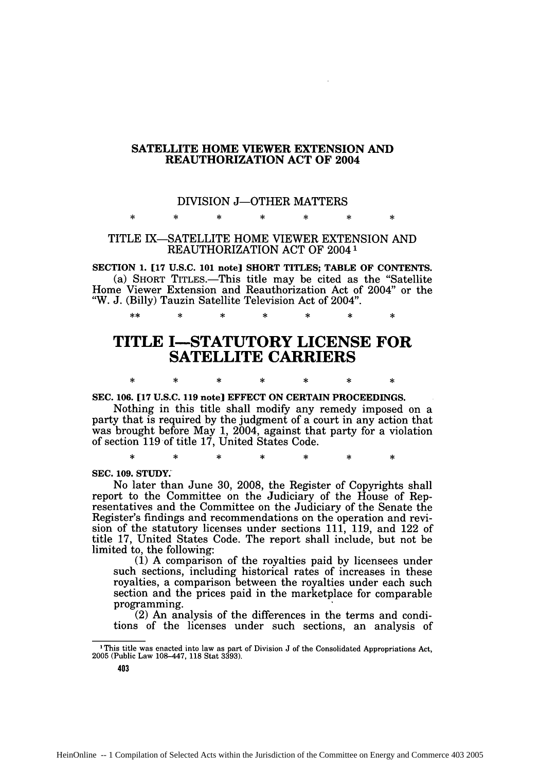#### **SATELLITE HOME VIEWER EXTENSION AND REAUTHORIZATION ACT OF 2004**

### DIVISION J-OTHER MATTERS

\* **\* \* \* \* \*** \*

#### TITLE IX-SATELLITE HOME VIEWER EXTENSION **AND** REAUTHORIZATION **ACT** OF 20041

SECTION **1. [17 U.S.C. 101 note] SHORT TITLES; TABLE OF CONTENTS.** (a) SHORT TITLES.-This title may be cited as the "Satellite Home Viewer Extension and Reauthorization Act of 2004" or the "W. **J.** (Billy) Tauzin Satellite Television Act of 2004".

**\*\* \* \* \* \* \* \***

## **TITLE I-STATUTORY LICENSE FOR SATELLITE CARRIERS**

sk.

 $\star$ 

sk.

**SEC. 106. [17 U.S.C. 119 note] EFFECT ON CERTAIN PROCEEDINGS.**

÷

Nothing in this title shall modify any remedy imposed on a party that is required **by** the judgment of a court in any action that was brought before May **1,** 2004, against that party for a violation of section **119** of title **17,** United States Code.

> $\ast$  $\ast$  $\star$  $\star$

**SEC. 109. STUDY.**

 $\Delta$ 

ų,

No later than June **30, 2008,** the Register of Copyrights shall report to the Committee on the Judiciary of the House of Representatives and the Committee on the Judiciary of the Senate the Register's findings and recommendations on the operation and revision of the statutory licenses under sections **111, 119,** and 122 of title **17,** United States Code. The report shall include, but not be limited to, the following:

**(1) A** comparison of the royalties paid **by** licensees under such sections, including historical rates of increases in these royalties, a comparison between the royalties under each such section and the prices paid in the marketplace for comparable programming.

(2) An analysis of the differences in the terms and conditions of the licenses under such sections, an analysis of

<sup>&</sup>lt;sup>1</sup>This title was enacted into law as part of Division J of the Consolidated Appropriations Act, 2005 (Public Law 108-447, 118 Stat 3393).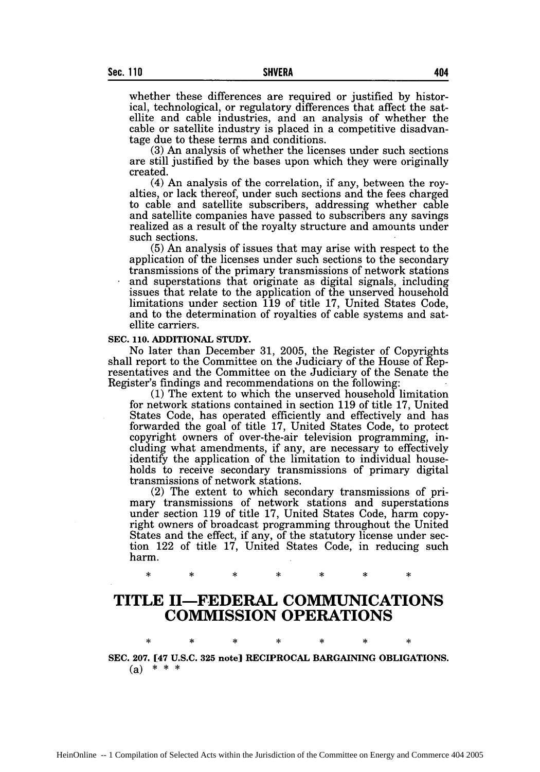whether these differences are required or justified by historical, technological, or regulatory differences that affect the satellite and cable industries, and an analysis of whether the cable or satellite industry is placed in a competitive disadvantage due to these terms and conditions.

(3) An analysis of whether the licenses under such sections are still justified by the bases upon which they were originally created.

(4) An analysis of the correlation, if any, between the royalties, or lack thereof, under such sections and the fees charged to cable and satellite subscribers, addressing whether cable and satellite companies have passed to subscribers any savings realized as a result of the royalty structure and amounts under such sections.

(5) An analysis of issues that may arise with respect to the application of the licenses under such sections to the secondary transmissions of the primary transmissions of network stations and superstations that originate as digital signals, including issues that relate to the application of the unserved household limitations under section 119 of title 17, United States Code, and to the determination of royalties of cable systems and satellite carriers.

#### **SEC. 110. ADDITIONAL STUDY.**

 $\ast$ 

 $\ast$ 

No later than December 31, 2005, the Register of Copyrights shall report to the Committee on the Judiciary of the House of Representatives and the Committee on the Judiciary of the Senate the Register's findings and recommendations on the following:

(1) The extent to which the unserved household limitation for network stations contained in section 119 of title 17, United States Code, has operated efficiently and effectively and has forwarded the goal of title 17, United States Code, to protect copyright owners of over-the-air television programming, including what amendments, if any, are necessary to effectively identify the application of the limitation to individual households to receive secondary transmissions of primary digital transmissions of network stations.

(2) The extent to which secondary transmissions of primary transmissions of network stations and superstations under section 119 of title 17, United States Code, harm copyright owners of broadcast programming throughout the United States and the effect, if any, of the statutory license under section 122 of title 17, United States Code, in reducing such harm.

 $\ast$ 

## **TITLE II-FEDERAL COMMUNICATIONS COMMISSION OPERATIONS**

**SEC. 207. [47 U.S.C. 325 note] RECIPROCAL BARGAINING OBLIGATIONS.**  $(a) * * * *$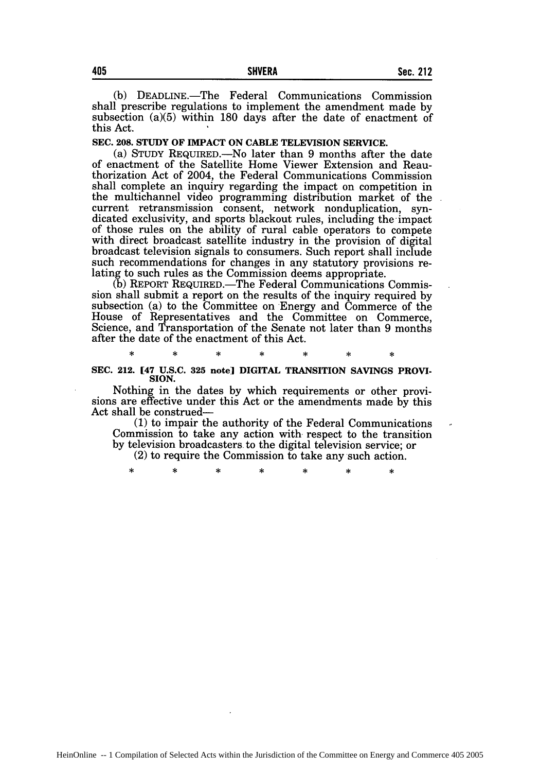(b) DEADLINE.—The Federal Communications Commission shall prescribe regulations to implement the amendment made by subsection (a)(5) within 180 days after the date of enactment of this Act.

**SEC. 208. STUDY OF IMPACT ON CABLE TELEVISION SERVICE.**

(a) STUDY REQUIRED.-No later than 9 months after the date of enactment of the Satellite Home Viewer Extension and Reauthorization Act of 2004, the Federal Communications Commission shall complete an inquiry regarding the impact on competition in the multichannel video programming distribution market of the dicated exclusivity, and sports blackout rules, including the impact<br>of those rules on the ability of rural cable operators to compete<br>with direct broadcast satellite industry in the provision of digital<br>broadcast televisi such recommendations for changes in any statutory provisions relating to such rules as the Commission deems appropriate.

(b) REPORT REQUIRED.-The Federal Communications Commission shall submit a report on the results of the inquiry required by subsection (a) to the Committee on Energy and Commerce of the House of Representatives and the Committee on Commerce, Science, and Transportation of the Senate not later than 9 months after the date of the enactment of this Act.

**SEC. 212. [47 U.S.C. 325 note] DIGITAL TRANSITION SAVINGS PROVI-SION.**

Nothing in the dates **by** which requirements or other provi- sions are effective under this Act or the amendments made **by** this Act shall be construed-

**(1)** to impair the authority of the Federal Communications Commission to take any action with respect to the transition **by** television broadcasters to the digital television service; or (2) to require the Commission to take any such action.

×  $\star$  $\star$ sk.

HeinOnline -- 1 Compilation of Selected Acts within the Jurisdiction of the Committee on Energy and Commerce 405 2005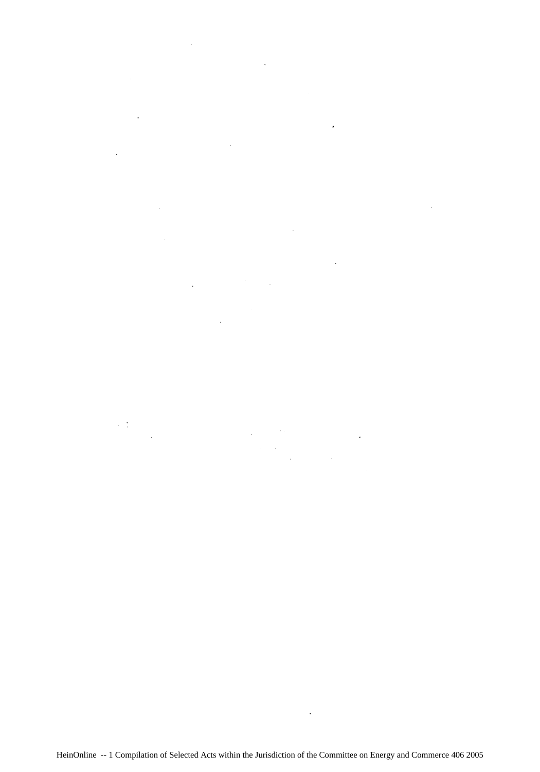$\sim 10^{11}$  km  $^{-1}$ l,  $\sim 10^{11}$  m  $^{-1}$ 

 $\ddot{\cdot}$  $\sim 10^{11}$ 

 $\mathcal{L}^{\text{max}}_{\text{max}}$  ,  $\mathcal{L}^{\text{max}}_{\text{max}}$  $\mathbb{R}^2$  $\label{eq:2.1} \frac{1}{\sqrt{2}}\left(\frac{1}{\sqrt{2}}\right)^{2} \left(\frac{1}{\sqrt{2}}\right)^{2} \left(\frac{1}{\sqrt{2}}\right)^{2} \left(\frac{1}{\sqrt{2}}\right)^{2} \left(\frac{1}{\sqrt{2}}\right)^{2} \left(\frac{1}{\sqrt{2}}\right)^{2} \left(\frac{1}{\sqrt{2}}\right)^{2} \left(\frac{1}{\sqrt{2}}\right)^{2} \left(\frac{1}{\sqrt{2}}\right)^{2} \left(\frac{1}{\sqrt{2}}\right)^{2} \left(\frac{1}{\sqrt{2}}\right)^{2} \left(\$ 

 $\label{eq:2} \begin{split} \mathcal{L}^{(1)}(x) &= \mathcal{L}^{(1)}(x) \, , \\ \mathcal{L}^{(2)}(x) &= \mathcal{L}^{(2)}(x) \, , \end{split}$ 

 $\sim 10^{-11}$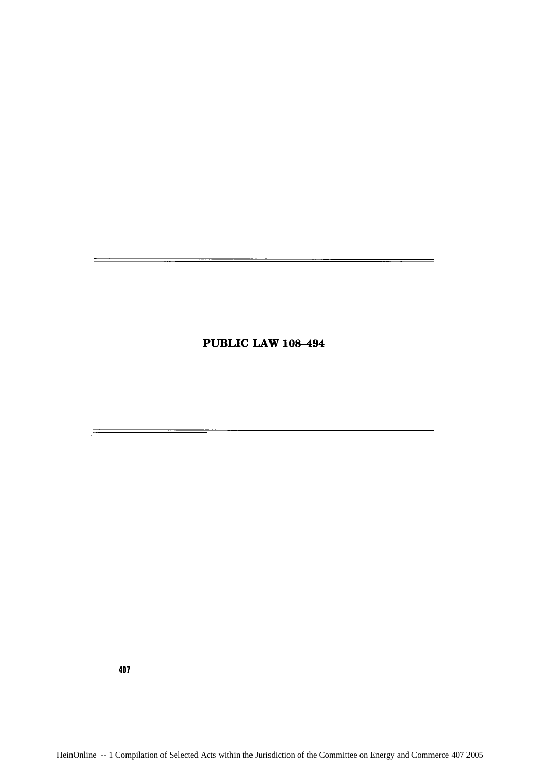## **PUBLIC** LAW 108-494

407

 $\bar{\beta}$ 

 $\equiv$